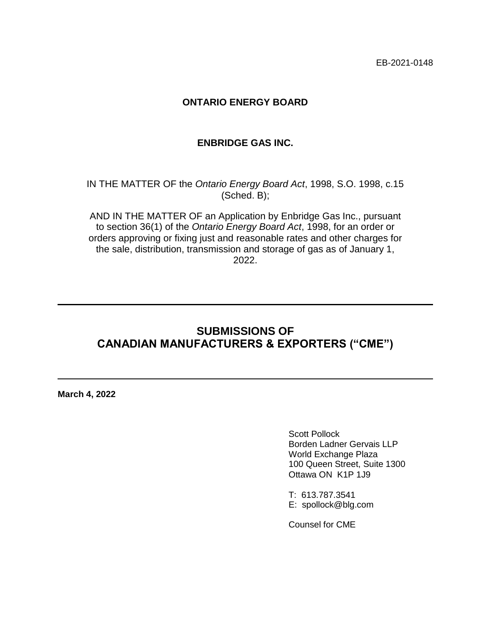EB-2021-0148

### **ONTARIO ENERGY BOARD**

#### **ENBRIDGE GAS INC.**

IN THE MATTER OF the *Ontario Energy Board Act*, 1998, S.O. 1998, c.15 (Sched. B);

AND IN THE MATTER OF an Application by Enbridge Gas Inc., pursuant to section 36(1) of the *Ontario Energy Board Act*, 1998, for an order or orders approving or fixing just and reasonable rates and other charges for the sale, distribution, transmission and storage of gas as of January 1, 2022.

## **SUBMISSIONS OF CANADIAN MANUFACTURERS & EXPORTERS ("CME")**

**March 4, 2022**

Scott Pollock Borden Ladner Gervais LLP World Exchange Plaza 100 Queen Street, Suite 1300 Ottawa ON K1P 1J9

T: 613.787.3541 E: spollock@blg.com

Counsel for CME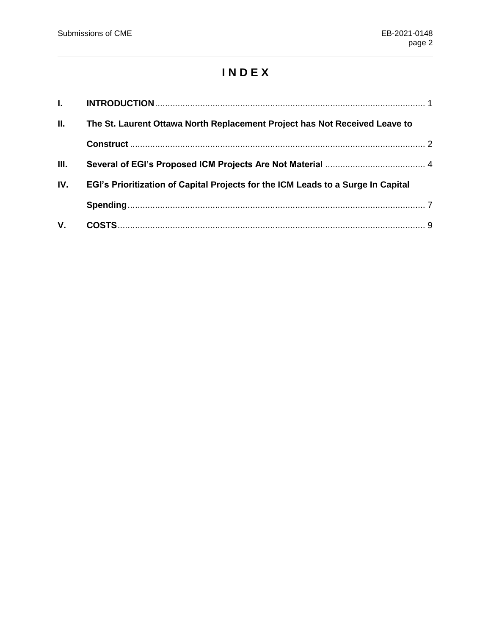# **I N D E X**

| L.  |                                                                                  |  |
|-----|----------------------------------------------------------------------------------|--|
| П.  | The St. Laurent Ottawa North Replacement Project has Not Received Leave to       |  |
|     |                                                                                  |  |
| Ш.  |                                                                                  |  |
| IV. | EGI's Prioritization of Capital Projects for the ICM Leads to a Surge In Capital |  |
|     |                                                                                  |  |
| V.  |                                                                                  |  |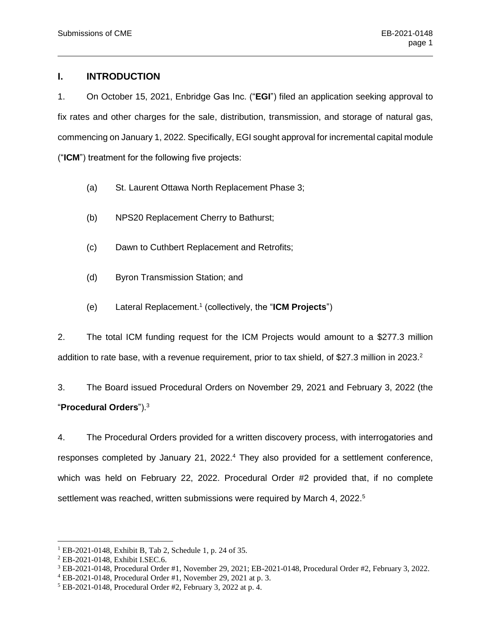#### <span id="page-2-0"></span>**I. INTRODUCTION**

1. On October 15, 2021, Enbridge Gas Inc. ("**EGI**") filed an application seeking approval to fix rates and other charges for the sale, distribution, transmission, and storage of natural gas, commencing on January 1, 2022. Specifically, EGI sought approval for incremental capital module ("**ICM**") treatment for the following five projects:

- (a) St. Laurent Ottawa North Replacement Phase 3;
- (b) NPS20 Replacement Cherry to Bathurst;
- (c) Dawn to Cuthbert Replacement and Retrofits;
- (d) Byron Transmission Station; and
- (e) Lateral Replacement. 1 (collectively, the "**ICM Projects**")

2. The total ICM funding request for the ICM Projects would amount to a \$277.3 million addition to rate base, with a revenue requirement, prior to tax shield, of \$27.3 million in 2023.<sup>2</sup>

3. The Board issued Procedural Orders on November 29, 2021 and February 3, 2022 (the "**Procedural Orders**").<sup>3</sup>

4. The Procedural Orders provided for a written discovery process, with interrogatories and responses completed by January 21, 2022.<sup>4</sup> They also provided for a settlement conference, which was held on February 22, 2022. Procedural Order #2 provided that, if no complete settlement was reached, written submissions were required by March 4, 2022.<sup>5</sup>

<sup>1</sup> EB-2021-0148, Exhibit B, Tab 2, Schedule 1, p. 24 of 35.

<sup>2</sup> EB-2021-0148, Exhibit I.SEC.6.

<sup>3</sup> EB-2021-0148, Procedural Order #1, November 29, 2021; EB-2021-0148, Procedural Order #2, February 3, 2022.

<sup>4</sup> EB-2021-0148, Procedural Order #1, November 29, 2021 at p. 3.

<sup>5</sup> EB-2021-0148, Procedural Order #2, February 3, 2022 at p. 4.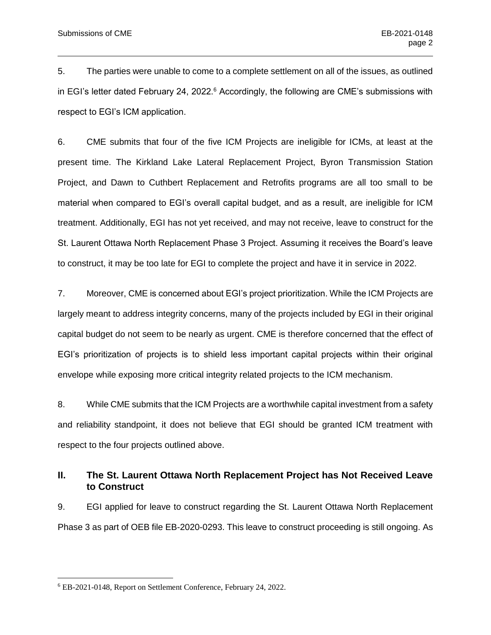5. The parties were unable to come to a complete settlement on all of the issues, as outlined in EGI's letter dated February 24, 2022.<sup>6</sup> Accordingly, the following are CME's submissions with respect to EGI's ICM application.

6. CME submits that four of the five ICM Projects are ineligible for ICMs, at least at the present time. The Kirkland Lake Lateral Replacement Project, Byron Transmission Station Project, and Dawn to Cuthbert Replacement and Retrofits programs are all too small to be material when compared to EGI's overall capital budget, and as a result, are ineligible for ICM treatment. Additionally, EGI has not yet received, and may not receive, leave to construct for the St. Laurent Ottawa North Replacement Phase 3 Project. Assuming it receives the Board's leave to construct, it may be too late for EGI to complete the project and have it in service in 2022.

7. Moreover, CME is concerned about EGI's project prioritization. While the ICM Projects are largely meant to address integrity concerns, many of the projects included by EGI in their original capital budget do not seem to be nearly as urgent. CME is therefore concerned that the effect of EGI's prioritization of projects is to shield less important capital projects within their original envelope while exposing more critical integrity related projects to the ICM mechanism.

8. While CME submits that the ICM Projects are a worthwhile capital investment from a safety and reliability standpoint, it does not believe that EGI should be granted ICM treatment with respect to the four projects outlined above.

#### <span id="page-3-0"></span>**II. The St. Laurent Ottawa North Replacement Project has Not Received Leave to Construct**

9. EGI applied for leave to construct regarding the St. Laurent Ottawa North Replacement Phase 3 as part of OEB file EB-2020-0293. This leave to construct proceeding is still ongoing. As

<sup>6</sup> EB-2021-0148, Report on Settlement Conference, February 24, 2022.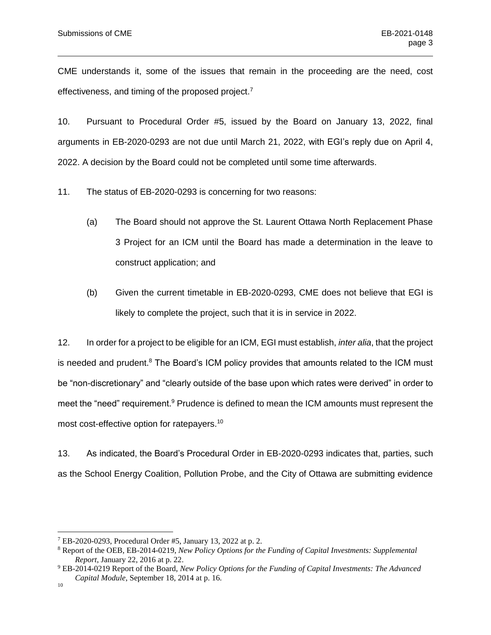CME understands it, some of the issues that remain in the proceeding are the need, cost effectiveness, and timing of the proposed project.<sup>7</sup>

10. Pursuant to Procedural Order #5, issued by the Board on January 13, 2022, final arguments in EB-2020-0293 are not due until March 21, 2022, with EGI's reply due on April 4, 2022. A decision by the Board could not be completed until some time afterwards.

11. The status of EB-2020-0293 is concerning for two reasons:

- (a) The Board should not approve the St. Laurent Ottawa North Replacement Phase 3 Project for an ICM until the Board has made a determination in the leave to construct application; and
- (b) Given the current timetable in EB-2020-0293, CME does not believe that EGI is likely to complete the project, such that it is in service in 2022.

12. In order for a project to be eligible for an ICM, EGI must establish, *inter alia*, that the project is needed and prudent.<sup>8</sup> The Board's ICM policy provides that amounts related to the ICM must be "non-discretionary" and "clearly outside of the base upon which rates were derived" in order to meet the "need" requirement.<sup>9</sup> Prudence is defined to mean the ICM amounts must represent the most cost-effective option for ratepayers.<sup>10</sup>

13. As indicated, the Board's Procedural Order in EB-2020-0293 indicates that, parties, such as the School Energy Coalition, Pollution Probe, and the City of Ottawa are submitting evidence

 $^7$  EB-2020-0293, Procedural Order #5, January 13, 2022 at p. 2.

<sup>8</sup> Report of the OEB, EB-2014-0219, *New Policy Options for the Funding of Capital Investments: Supplemental Report*, January 22, 2016 at p. 22.

<sup>9</sup> EB-2014-0219 Report of the Board, *New Policy Options for the Funding of Capital Investments: The Advanced Capital Module*, September 18, 2014 at p. 16.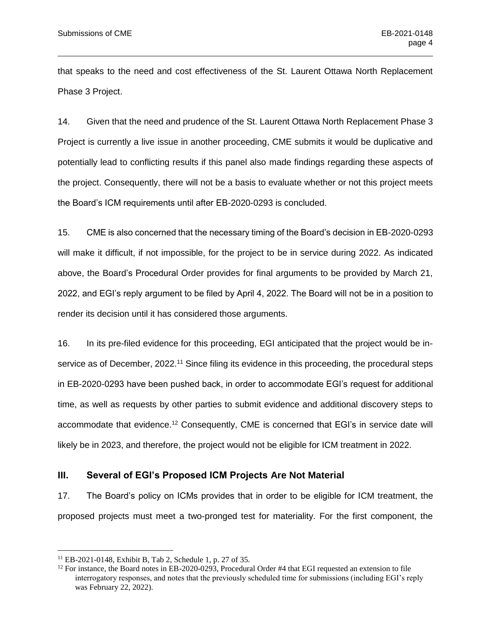that speaks to the need and cost effectiveness of the St. Laurent Ottawa North Replacement Phase 3 Project.

14. Given that the need and prudence of the St. Laurent Ottawa North Replacement Phase 3 Project is currently a live issue in another proceeding, CME submits it would be duplicative and potentially lead to conflicting results if this panel also made findings regarding these aspects of the project. Consequently, there will not be a basis to evaluate whether or not this project meets the Board's ICM requirements until after EB-2020-0293 is concluded.

15. CME is also concerned that the necessary timing of the Board's decision in EB-2020-0293 will make it difficult, if not impossible, for the project to be in service during 2022. As indicated above, the Board's Procedural Order provides for final arguments to be provided by March 21, 2022, and EGI's reply argument to be filed by April 4, 2022. The Board will not be in a position to render its decision until it has considered those arguments.

16. In its pre-filed evidence for this proceeding, EGI anticipated that the project would be inservice as of December, 2022.<sup>11</sup> Since filing its evidence in this proceeding, the procedural steps in EB-2020-0293 have been pushed back, in order to accommodate EGI's request for additional time, as well as requests by other parties to submit evidence and additional discovery steps to accommodate that evidence.<sup>12</sup> Consequently, CME is concerned that EGI's in service date will likely be in 2023, and therefore, the project would not be eligible for ICM treatment in 2022.

#### <span id="page-5-0"></span>**III. Several of EGI's Proposed ICM Projects Are Not Material**

17. The Board's policy on ICMs provides that in order to be eligible for ICM treatment, the proposed projects must meet a two-pronged test for materiality. For the first component, the

<sup>11</sup> EB-2021-0148, Exhibit B, Tab 2, Schedule 1, p. 27 of 35.

 $12$  For instance, the Board notes in EB-2020-0293, Procedural Order #4 that EGI requested an extension to file interrogatory responses, and notes that the previously scheduled time for submissions (including EGI's reply was February 22, 2022).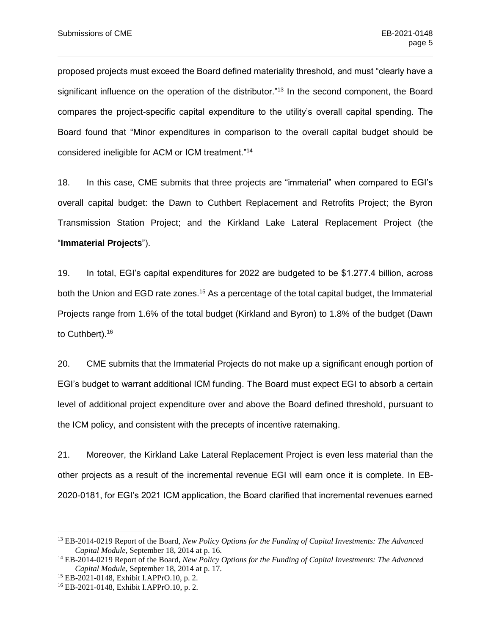proposed projects must exceed the Board defined materiality threshold, and must "clearly have a significant influence on the operation of the distributor."<sup>13</sup> In the second component, the Board compares the project-specific capital expenditure to the utility's overall capital spending. The Board found that "Minor expenditures in comparison to the overall capital budget should be considered ineligible for ACM or ICM treatment."<sup>14</sup>

18. In this case, CME submits that three projects are "immaterial" when compared to EGI's overall capital budget: the Dawn to Cuthbert Replacement and Retrofits Project; the Byron Transmission Station Project; and the Kirkland Lake Lateral Replacement Project (the "**Immaterial Projects**").

19. In total, EGI's capital expenditures for 2022 are budgeted to be \$1.277.4 billion, across both the Union and EGD rate zones.<sup>15</sup> As a percentage of the total capital budget, the Immaterial Projects range from 1.6% of the total budget (Kirkland and Byron) to 1.8% of the budget (Dawn to Cuthbert).<sup>16</sup>

20. CME submits that the Immaterial Projects do not make up a significant enough portion of EGI's budget to warrant additional ICM funding. The Board must expect EGI to absorb a certain level of additional project expenditure over and above the Board defined threshold, pursuant to the ICM policy, and consistent with the precepts of incentive ratemaking.

21. Moreover, the Kirkland Lake Lateral Replacement Project is even less material than the other projects as a result of the incremental revenue EGI will earn once it is complete. In EB-2020-0181, for EGI's 2021 ICM application, the Board clarified that incremental revenues earned

<sup>13</sup> EB-2014-0219 Report of the Board, *New Policy Options for the Funding of Capital Investments: The Advanced Capital Module*, September 18, 2014 at p. 16.

<sup>14</sup> EB-2014-0219 Report of the Board, *New Policy Options for the Funding of Capital Investments: The Advanced Capital Module*, September 18, 2014 at p. 17.

<sup>15</sup> EB-2021-0148, Exhibit I.APPrO.10, p. 2.

<sup>16</sup> EB-2021-0148, Exhibit I.APPrO.10, p. 2.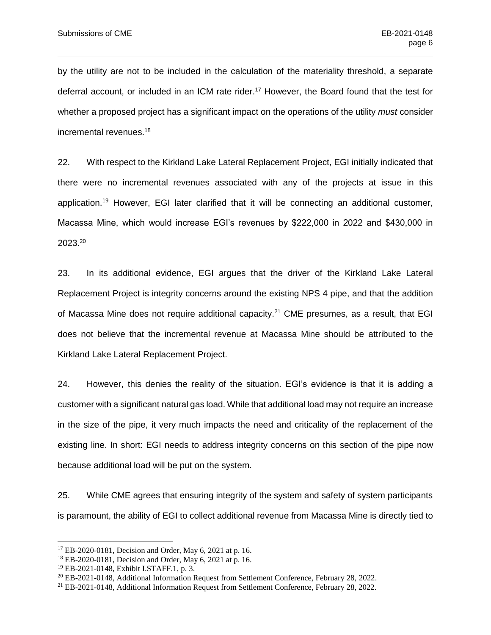by the utility are not to be included in the calculation of the materiality threshold, a separate deferral account, or included in an ICM rate rider.<sup>17</sup> However, the Board found that the test for whether a proposed project has a significant impact on the operations of the utility *must* consider incremental revenues.<sup>18</sup>

22. With respect to the Kirkland Lake Lateral Replacement Project, EGI initially indicated that there were no incremental revenues associated with any of the projects at issue in this application.<sup>19</sup> However, EGI later clarified that it will be connecting an additional customer, Macassa Mine, which would increase EGI's revenues by \$222,000 in 2022 and \$430,000 in 2023.<sup>20</sup>

23. In its additional evidence, EGI argues that the driver of the Kirkland Lake Lateral Replacement Project is integrity concerns around the existing NPS 4 pipe, and that the addition of Macassa Mine does not require additional capacity.<sup>21</sup> CME presumes, as a result, that EGI does not believe that the incremental revenue at Macassa Mine should be attributed to the Kirkland Lake Lateral Replacement Project.

24. However, this denies the reality of the situation. EGI's evidence is that it is adding a customer with a significant natural gas load. While that additional load may not require an increase in the size of the pipe, it very much impacts the need and criticality of the replacement of the existing line. In short: EGI needs to address integrity concerns on this section of the pipe now because additional load will be put on the system.

25. While CME agrees that ensuring integrity of the system and safety of system participants is paramount, the ability of EGI to collect additional revenue from Macassa Mine is directly tied to

<sup>17</sup> EB-2020-0181, Decision and Order, May 6, 2021 at p. 16.

<sup>18</sup> EB-2020-0181, Decision and Order, May 6, 2021 at p. 16.

<sup>19</sup> EB-2021-0148, Exhibit I.STAFF.1, p. 3.

<sup>20</sup> EB-2021-0148, Additional Information Request from Settlement Conference, February 28, 2022.

<sup>21</sup> EB-2021-0148, Additional Information Request from Settlement Conference, February 28, 2022.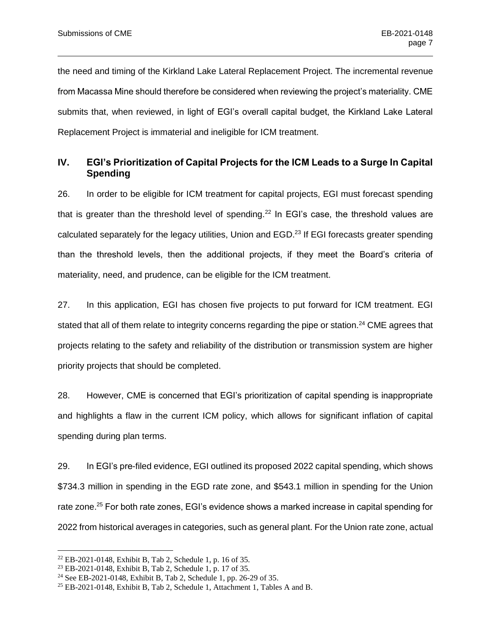the need and timing of the Kirkland Lake Lateral Replacement Project. The incremental revenue from Macassa Mine should therefore be considered when reviewing the project's materiality. CME submits that, when reviewed, in light of EGI's overall capital budget, the Kirkland Lake Lateral Replacement Project is immaterial and ineligible for ICM treatment.

#### <span id="page-8-0"></span>**IV. EGI's Prioritization of Capital Projects for the ICM Leads to a Surge In Capital Spending**

26. In order to be eligible for ICM treatment for capital projects, EGI must forecast spending that is greater than the threshold level of spending.<sup>22</sup> In EGI's case, the threshold values are calculated separately for the legacy utilities, Union and EGD.<sup>23</sup> If EGI forecasts greater spending than the threshold levels, then the additional projects, if they meet the Board's criteria of materiality, need, and prudence, can be eligible for the ICM treatment.

27. In this application, EGI has chosen five projects to put forward for ICM treatment. EGI stated that all of them relate to integrity concerns regarding the pipe or station.<sup>24</sup> CME agrees that projects relating to the safety and reliability of the distribution or transmission system are higher priority projects that should be completed.

28. However, CME is concerned that EGI's prioritization of capital spending is inappropriate and highlights a flaw in the current ICM policy, which allows for significant inflation of capital spending during plan terms.

29. In EGI's pre-filed evidence, EGI outlined its proposed 2022 capital spending, which shows \$734.3 million in spending in the EGD rate zone, and \$543.1 million in spending for the Union rate zone.<sup>25</sup> For both rate zones, EGI's evidence shows a marked increase in capital spending for 2022 from historical averages in categories, such as general plant. For the Union rate zone, actual

<sup>22</sup> EB-2021-0148, Exhibit B, Tab 2, Schedule 1, p. 16 of 35.

<sup>23</sup> EB-2021-0148, Exhibit B, Tab 2, Schedule 1, p. 17 of 35.

<sup>24</sup> See EB-2021-0148, Exhibit B, Tab 2, Schedule 1, pp. 26-29 of 35.

<sup>25</sup> EB-2021-0148, Exhibit B, Tab 2, Schedule 1, Attachment 1, Tables A and B.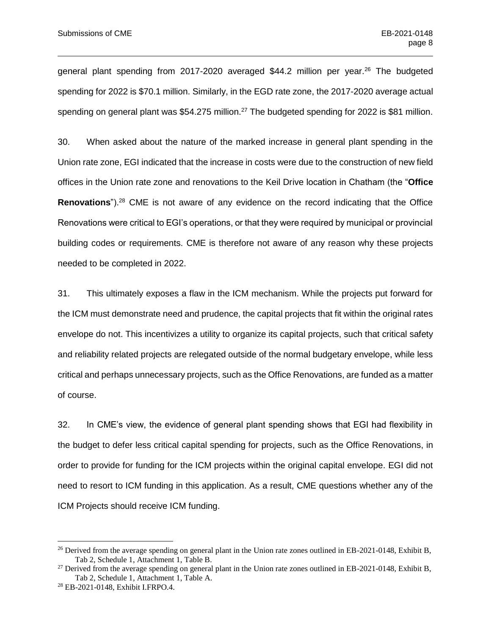general plant spending from 2017-2020 averaged \$44.2 million per year.<sup>26</sup> The budgeted spending for 2022 is \$70.1 million. Similarly, in the EGD rate zone, the 2017-2020 average actual spending on general plant was \$54.275 million.<sup>27</sup> The budgeted spending for 2022 is \$81 million.

30. When asked about the nature of the marked increase in general plant spending in the Union rate zone, EGI indicated that the increase in costs were due to the construction of new field offices in the Union rate zone and renovations to the Keil Drive location in Chatham (the "**Office Renovations**").<sup>28</sup> CME is not aware of any evidence on the record indicating that the Office Renovations were critical to EGI's operations, or that they were required by municipal or provincial building codes or requirements. CME is therefore not aware of any reason why these projects needed to be completed in 2022.

31. This ultimately exposes a flaw in the ICM mechanism. While the projects put forward for the ICM must demonstrate need and prudence, the capital projects that fit within the original rates envelope do not. This incentivizes a utility to organize its capital projects, such that critical safety and reliability related projects are relegated outside of the normal budgetary envelope, while less critical and perhaps unnecessary projects, such as the Office Renovations, are funded as a matter of course.

32. In CME's view, the evidence of general plant spending shows that EGI had flexibility in the budget to defer less critical capital spending for projects, such as the Office Renovations, in order to provide for funding for the ICM projects within the original capital envelope. EGI did not need to resort to ICM funding in this application. As a result, CME questions whether any of the ICM Projects should receive ICM funding.

<sup>&</sup>lt;sup>26</sup> Derived from the average spending on general plant in the Union rate zones outlined in EB-2021-0148, Exhibit B, Tab 2, Schedule 1, Attachment 1, Table B.

 $27$  Derived from the average spending on general plant in the Union rate zones outlined in EB-2021-0148, Exhibit B, Tab 2, Schedule 1, Attachment 1, Table A.

<sup>28</sup> EB-2021-0148, Exhibit I.FRPO.4.